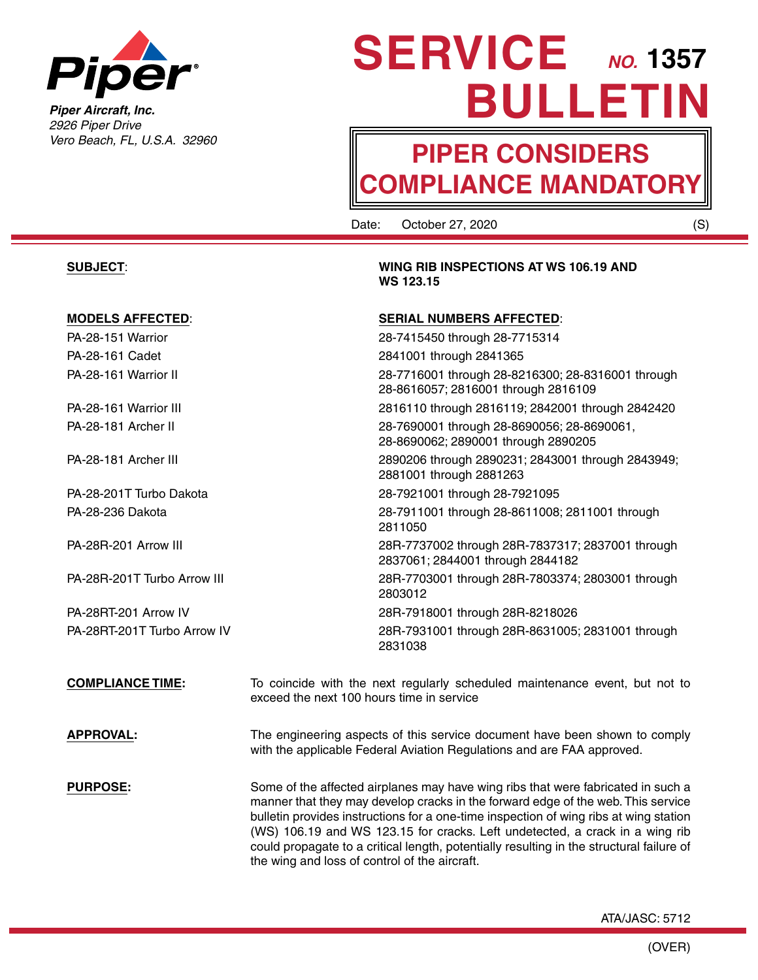

*Piper Aircraft, Inc. 2926 Piper Drive Vero Beach, FL, U.S.A. 32960*

# **SERVICE** *NO.* 1357 **BULLETIN**

## **PIPER CONSIDERS COMPLIANCE MANDATORY**

Date: October 27, 2020 (S)

**WS 123.15**

2811050

2803012

2831038

**SUBJECT**: **WING RIB INSPECTIONS AT WS 106.19 AND** 

### **MODELS AFFECTED**: **SERIAL NUMBERS AFFECTED**:

PA-28-151 Warrior 28-7415450 through 28-7715314 PA-28-161 Cadet 2841001 through 2841365 PA-28-161 Warrior II 28-7716001 through 28-8216300; 28-8316001 through

PA-28-161 Warrior III 2816110 through 2816119; 2842001 through 2842420 PA-28-181 Archer II 28-7690001 through 28-8690056; 28-8690061,

PA-28-181 Archer III 2890206 through 2890231; 2843001 through 2843949;

PA-28-201T Turbo Dakota 28-7921001 through 28-7921095 PA-28-236 Dakota 28-7911001 through 28-8611008; 2811001 through

PA-28R-201 Arrow III 28R-7737002 through 28R-7837317; 2837001 through

PA-28R-201T Turbo Arrow III 28R-7703001 through 28R-7803374; 2803001 through

PA-28RT-201 Arrow IV 28R-7918001 through 28R-8218026 PA-28RT-201T Turbo Arrow IV 28R-7931001 through 28R-8631005; 2831001 through

**COMPLIANCE TIME:** To coincide with the next regularly scheduled maintenance event, but not to exceed the next 100 hours time in service

2837061; 2844001 through 2844182

28-8616057; 2816001 through 2816109

28-8690062; 2890001 through 2890205

2881001 through 2881263

**APPROVAL:** The engineering aspects of this service document have been shown to comply with the applicable Federal Aviation Regulations and are FAA approved.

**PURPOSE:** Some of the affected airplanes may have wing ribs that were fabricated in such a manner that they may develop cracks in the forward edge of the web. This service bulletin provides instructions for a one-time inspection of wing ribs at wing station (WS) 106.19 and WS 123.15 for cracks. Left undetected, a crack in a wing rib could propagate to a critical length, potentially resulting in the structural failure of the wing and loss of control of the aircraft.

ATA/JASC: 5712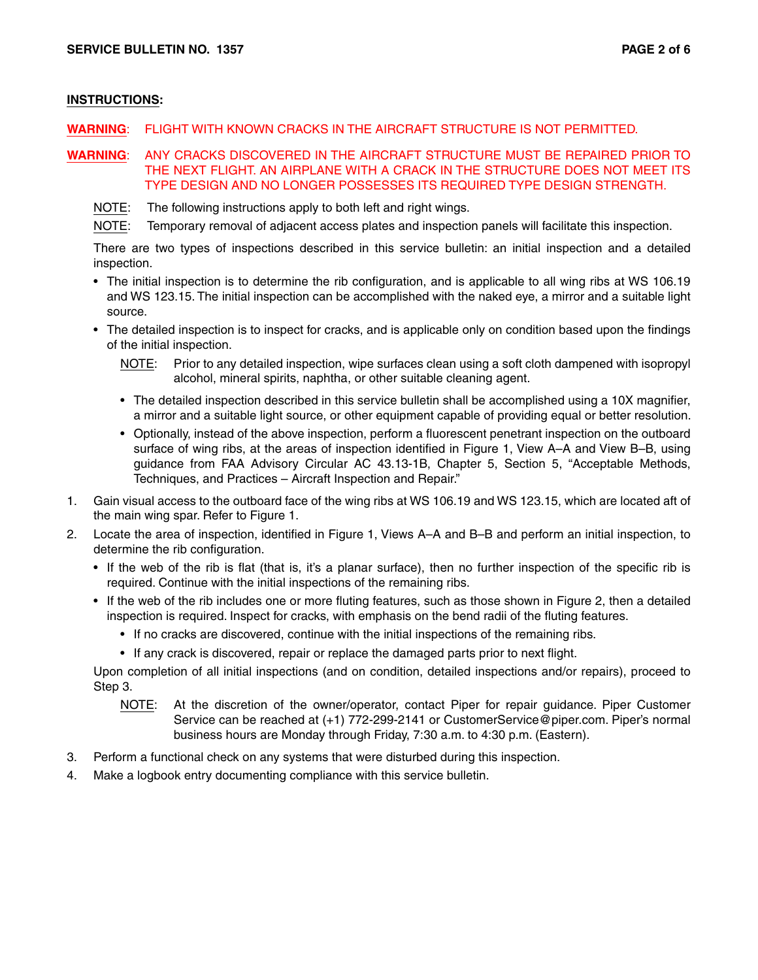#### **INSTRUCTIONS:**

- **WARNING**: FLIGHT WITH KNOWN CRACKS IN THE AIRCRAFT STRUCTURE IS NOT PERMITTED.
- **WARNING**: ANY CRACKS DISCOVERED IN THE AIRCRAFT STRUCTURE MUST BE REPAIRED PRIOR TO THE NEXT FLIGHT. AN AIRPLANE WITH A CRACK IN THE STRUCTURE DOES NOT MEET ITS TYPE DESIGN AND NO LONGER POSSESSES ITS REQUIRED TYPE DESIGN STRENGTH.
	- NOTE: The following instructions apply to both left and right wings.
	- NOTE: Temporary removal of adjacent access plates and inspection panels will facilitate this inspection.

There are two types of inspections described in this service bulletin: an initial inspection and a detailed inspection.

- The initial inspection is to determine the rib configuration, and is applicable to all wing ribs at WS 106.19 and WS 123.15. The initial inspection can be accomplished with the naked eye, a mirror and a suitable light source.
- The detailed inspection is to inspect for cracks, and is applicable only on condition based upon the findings of the initial inspection.
	- NOTE: Prior to any detailed inspection, wipe surfaces clean using a soft cloth dampened with isopropyl alcohol, mineral spirits, naphtha, or other suitable cleaning agent.
	- The detailed inspection described in this service bulletin shall be accomplished using a 10X magnifier, a mirror and a suitable light source, or other equipment capable of providing equal or better resolution.
	- Optionally, instead of the above inspection, perform a fluorescent penetrant inspection on the outboard surface of wing ribs, at the areas of inspection identified in Figure 1, View A–A and View B–B, using guidance from FAA Advisory Circular AC 43.13-1B, Chapter 5, Section 5, "Acceptable Methods, Techniques, and Practices – Aircraft Inspection and Repair."
- 1. Gain visual access to the outboard face of the wing ribs at WS 106.19 and WS 123.15, which are located aft of the main wing spar. Refer to Figure 1.
- 2. Locate the area of inspection, identified in Figure 1, Views A–A and B–B and perform an initial inspection, to determine the rib configuration.
	- If the web of the rib is flat (that is, it's a planar surface), then no further inspection of the specific rib is required. Continue with the initial inspections of the remaining ribs.
	- If the web of the rib includes one or more fluting features, such as those shown in Figure 2, then a detailed inspection is required. Inspect for cracks, with emphasis on the bend radii of the fluting features.
		- If no cracks are discovered, continue with the initial inspections of the remaining ribs.
		- If any crack is discovered, repair or replace the damaged parts prior to next flight.

Upon completion of all initial inspections (and on condition, detailed inspections and/or repairs), proceed to Step 3.

- NOTE: At the discretion of the owner/operator, contact Piper for repair guidance. Piper Customer Service can be reached at (+1) 772-299-2141 or CustomerService@piper.com. Piper's normal business hours are Monday through Friday, 7:30 a.m. to 4:30 p.m. (Eastern).
- 3. Perform a functional check on any systems that were disturbed during this inspection.
- 4. Make a logbook entry documenting compliance with this service bulletin.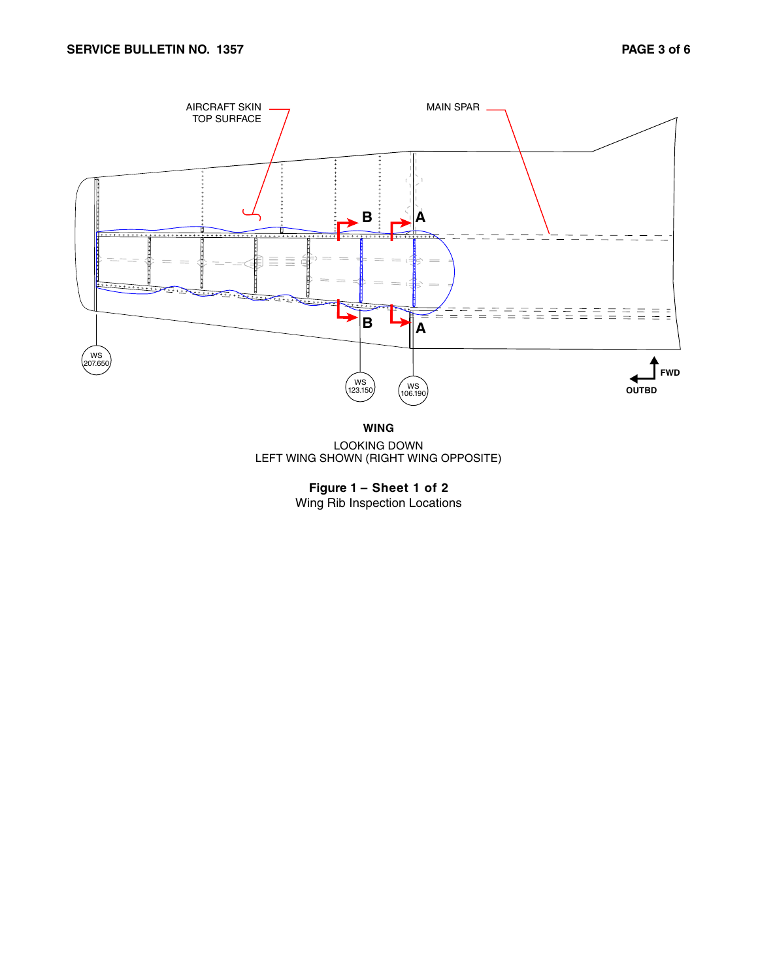

**WING**

LOOKING DOWN LEFT WING SHOWN (RIGHT WING OPPOSITE)

**Figure 1 – Sheet 1 of 2** Wing Rib Inspection Locations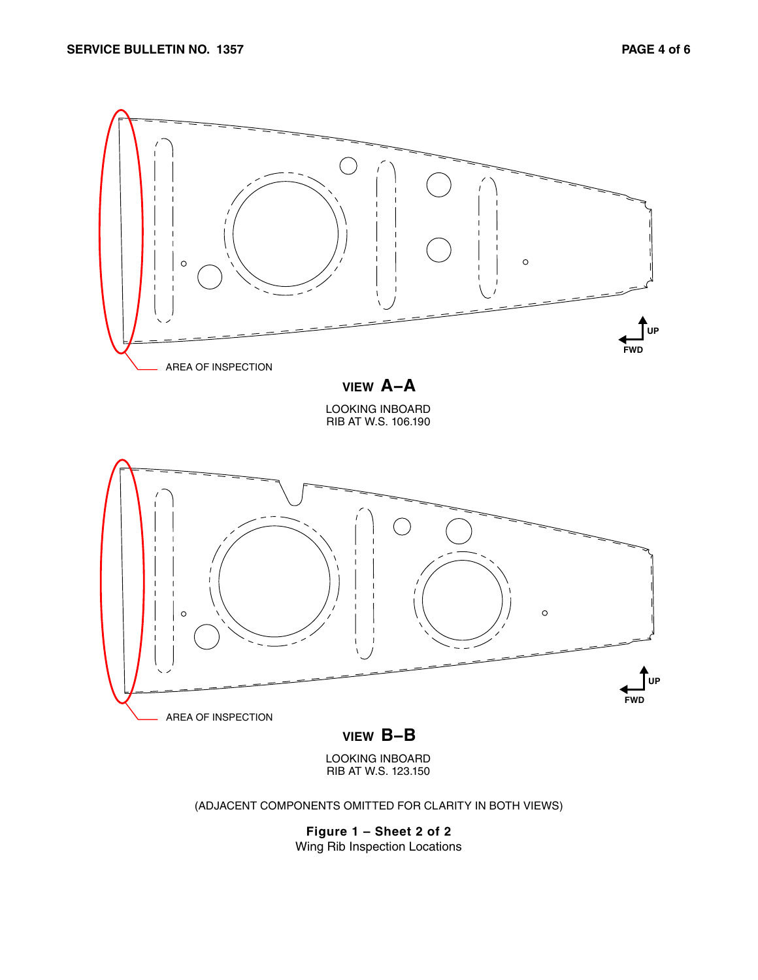

LOOKING INBOARD RIB AT W.S. 123.150

(ADJACENT COMPONENTS OMITTED FOR CLARITY IN BOTH VIEWS)

**Figure 1 – Sheet 2 of 2** Wing Rib Inspection Locations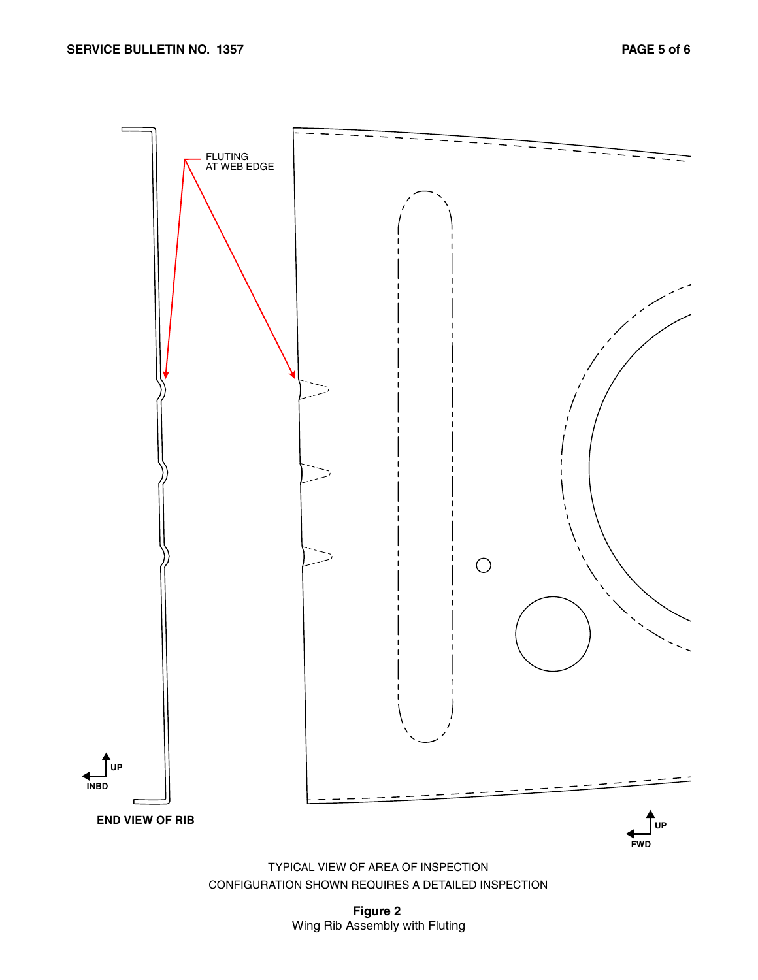

CONFIGURATION SHOWN REQUIRES A DETAILED INSPECTION

**Figure 2** Wing Rib Assembly with Fluting